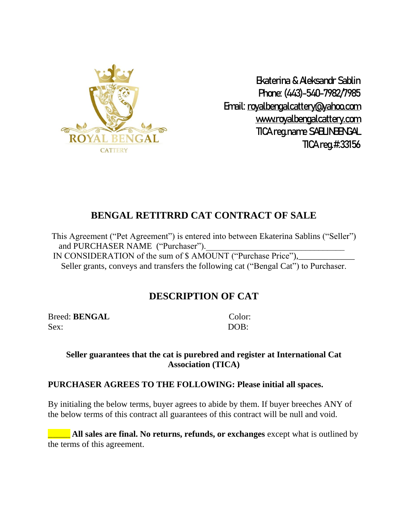

Ekaterina & Aleksandr Sablin Phone: (443)-540-7982/7985 Email: [royalbengalcattery@yahoo.com](mailto:royalbengalcattery@yahoo.com) [www.royalbengalcattery.com](http://www.royalbengalcattery.com/) TICA reg.name SABLINBENGAL TICA reg.#:33156

# **BENGAL RETITRRD CAT CONTRACT OF SALE**

This Agreement ("Pet Agreement") is entered into between Ekaterina Sablins ("Seller") and PURCHASER NAME ("Purchaser"). IN CONSIDERATION of the sum of \$ AMOUNT ("Purchase Price"), Seller grants, conveys and transfers the following cat ("Bengal Cat") to Purchaser.

# **DESCRIPTION OF CAT**

Breed: **BENGAL** Color: Sex: DOB:

#### **Seller guarantees that the cat is purebred and register at International Cat Association (TICA)**

### **PURCHASER AGREES TO THE FOLLOWING: Please initial all spaces.**

By initialing the below terms, buyer agrees to abide by them. If buyer breeches ANY of the below terms of this contract all guarantees of this contract will be null and void.

**All sales are final. No returns, refunds, or exchanges** except what is outlined by the terms of this agreement.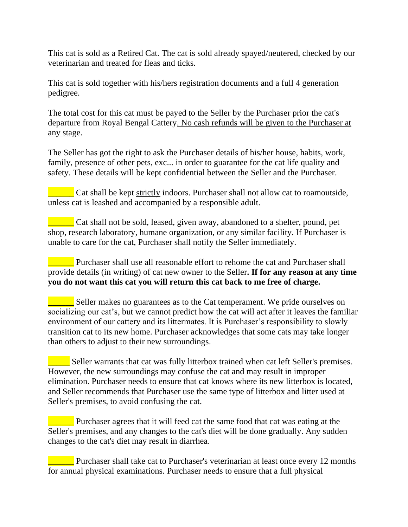This cat is sold as a Retired Cat. The cat is sold already spayed/neutered, checked by our veterinarian and treated for fleas and ticks.

This cat is sold together with his/hers registration documents and a full 4 generation pedigree.

The total cost for this cat must be payed to the Seller by the Purchaser prior the cat's departure from Royal Bengal Cattery. No cash refunds will be given to the Purchaser at any stage.

The Seller has got the right to ask the Purchaser details of his/her house, habits, work, family, presence of other pets, exc... in order to guarantee for the cat life quality and safety. These details will be kept confidential between the Seller and the Purchaser.

**EXECUTE:** Cat shall be kept strictly indoors. Purchaser shall not allow cat to roamoutside, unless cat is leashed and accompanied by a responsible adult.

\_\_\_\_\_\_ Cat shall not be sold, leased, given away, abandoned to a shelter, pound, pet shop, research laboratory, humane organization, or any similar facility. If Purchaser is unable to care for the cat, Purchaser shall notify the Seller immediately.

**EXECUTE:** Purchaser shall use all reasonable effort to rehome the cat and Purchaser shall provide details (in writing) of cat new owner to the Seller**. If for any reason at any time you do not want this cat you will return this cat back to me free of charge.**

**Seller makes no guarantees as to the Cat temperament. We pride ourselves on** socializing our cat's, but we cannot predict how the cat will act after it leaves the familiar environment of our cattery and its littermates. It is Purchaser's responsibility to slowly transition cat to its new home. Purchaser acknowledges that some cats may take longer than others to adjust to their new surroundings.

**Letter** Seller warrants that cat was fully litterbox trained when cat left Seller's premises. However, the new surroundings may confuse the cat and may result in improper elimination. Purchaser needs to ensure that cat knows where its new litterbox is located, and Seller recommends that Purchaser use the same type of litterbox and litter used at Seller's premises, to avoid confusing the cat.

**EXECUTE:** Purchaser agrees that it will feed cat the same food that cat was eating at the Seller's premises, and any changes to the cat's diet will be done gradually. Any sudden changes to the cat's diet may result in diarrhea.

**Example 12** Purchaser shall take cat to Purchaser's veterinarian at least once every 12 months for annual physical examinations. Purchaser needs to ensure that a full physical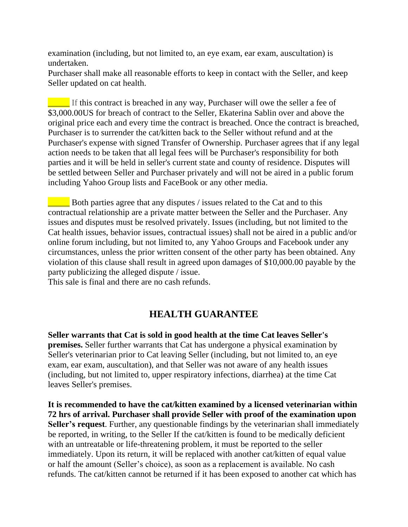examination (including, but not limited to, an eye exam, ear exam, auscultation) is undertaken.

Purchaser shall make all reasonable efforts to keep in contact with the Seller, and keep Seller updated on cat health.

If this contract is breached in any way, Purchaser will owe the seller a fee of \$3,000.00US for breach of contract to the Seller, Ekaterina Sablin over and above the original price each and every time the contract is breached. Once the contract is breached, Purchaser is to surrender the cat/kitten back to the Seller without refund and at the Purchaser's expense with signed Transfer of Ownership. Purchaser agrees that if any legal action needs to be taken that all legal fees will be Purchaser's responsibility for both parties and it will be held in seller's current state and county of residence. Disputes will be settled between Seller and Purchaser privately and will not be aired in a public forum including Yahoo Group lists and FaceBook or any other media.

Both parties agree that any disputes / issues related to the Cat and to this contractual relationship are a private matter between the Seller and the Purchaser. Any issues and disputes must be resolved privately. Issues (including, but not limited to the Cat health issues, behavior issues, contractual issues) shall not be aired in a public and/or online forum including, but not limited to, any Yahoo Groups and Facebook under any circumstances, unless the prior written consent of the other party has been obtained. Any violation of this clause shall result in agreed upon damages of \$10,000.00 payable by the party publicizing the alleged dispute / issue.

This sale is final and there are no cash refunds.

### **HEALTH GUARANTEE**

**Seller warrants that Cat is sold in good health at the time Cat leaves Seller's premises.** Seller further warrants that Cat has undergone a physical examination by Seller's veterinarian prior to Cat leaving Seller (including, but not limited to, an eye exam, ear exam, auscultation), and that Seller was not aware of any health issues (including, but not limited to, upper respiratory infections, diarrhea) at the time Cat leaves Seller's premises.

**It is recommended to have the cat/kitten examined by a licensed veterinarian within 72 hrs of arrival. Purchaser shall provide Seller with proof of the examination upon Seller's request**. Further, any questionable findings by the veterinarian shall immediately be reported, in writing, to the Seller If the cat/kitten is found to be medically deficient with an untreatable or life-threatening problem, it must be reported to the seller immediately. Upon its return, it will be replaced with another cat/kitten of equal value or half the amount (Seller's choice), as soon as a replacement is available. No cash refunds. The cat/kitten cannot be returned if it has been exposed to another cat which has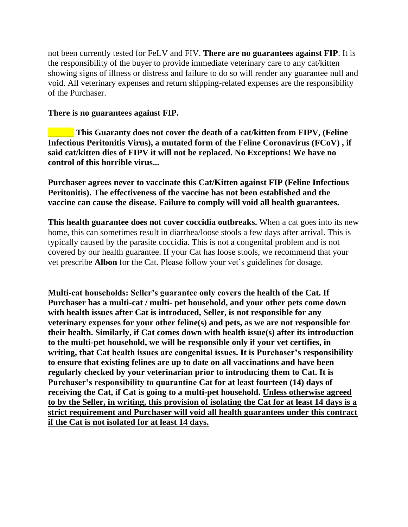not been currently tested for FeLV and FIV. **There are no guarantees against FIP**. It is the responsibility of the buyer to provide immediate veterinary care to any cat/kitten showing signs of illness or distress and failure to do so will render any guarantee null and void. All veterinary expenses and return shipping-related expenses are the responsibility of the Purchaser.

#### **There is no guarantees against FIP.**

\_\_\_\_\_\_ **This Guaranty does not cover the death of a cat/kitten from FIPV, (Feline Infectious Peritonitis Virus), a mutated form of the Feline Coronavirus (FCoV) , if said cat/kitten dies of FIPV it will not be replaced. No Exceptions! We have no control of this horrible virus...**

**Purchaser agrees never to vaccinate this Cat/Kitten against FIP (Feline Infectious Peritonitis). The effectiveness of the vaccine has not been established and the vaccine can cause the disease. Failure to comply will void all health guarantees.**

**This health guarantee does not cover coccidia outbreaks.** When a cat goes into its new home, this can sometimes result in diarrhea/loose stools a few days after arrival. This is typically caused by the parasite coccidia. This is not a congenital problem and is not covered by our health guarantee. If your Cat has loose stools, we recommend that your vet prescribe **Albon** for the Cat. Please follow your vet's guidelines for dosage.

**Multi-cat households: Seller's guarantee only covers the health of the Cat. If Purchaser has a multi-cat / multi- pet household, and your other pets come down with health issues after Cat is introduced, Seller, is not responsible for any veterinary expenses for your other feline(s) and pets, as we are not responsible for their health. Similarly, if Cat comes down with health issue(s) after its introduction to the multi-pet household, we will be responsible only if your vet certifies, in writing, that Cat health issues are congenital issues. It is Purchaser's responsibility to ensure that existing felines are up to date on all vaccinations and have been regularly checked by your veterinarian prior to introducing them to Cat. It is Purchaser's responsibility to quarantine Cat for at least fourteen (14) days of receiving the Cat, if Cat is going to a multi-pet household. Unless otherwise agreed to by the Seller, in writing, this provision of isolating the Cat for at least 14 days is a strict requirement and Purchaser will void all health guarantees under this contract if the Cat is not isolated for at least 14 days.**